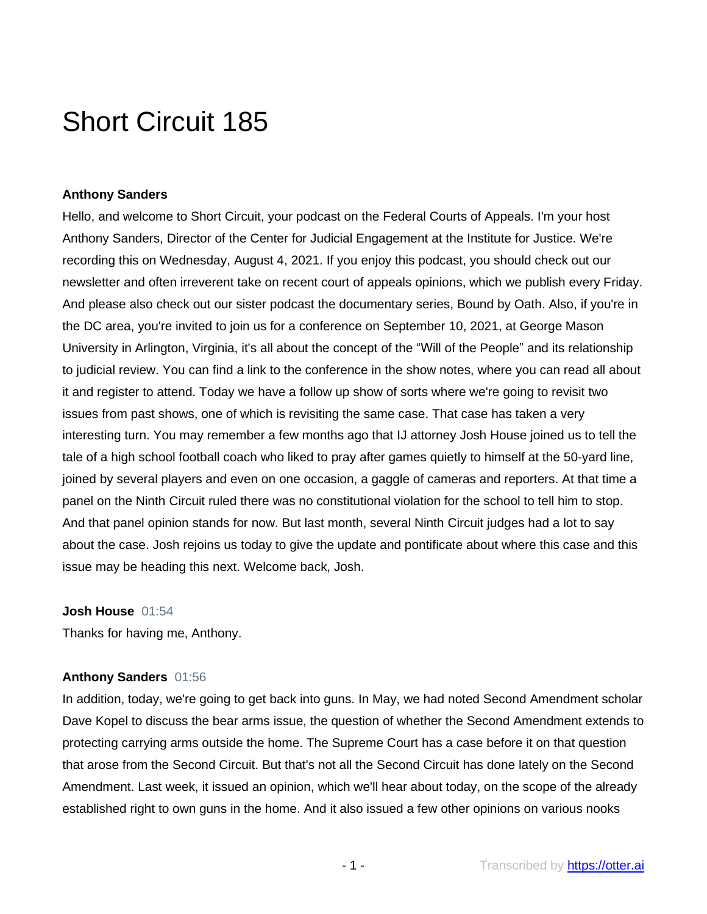# Short Circuit 185

# **Anthony Sanders**

Hello, and welcome to Short Circuit, your podcast on the Federal Courts of Appeals. I'm your host Anthony Sanders, Director of the Center for Judicial Engagement at the Institute for Justice. We're recording this on Wednesday, August 4, 2021. If you enjoy this podcast, you should check out our newsletter and often irreverent take on recent court of appeals opinions, which we publish every Friday. And please also check out our sister podcast the documentary series, Bound by Oath. Also, if you're in the DC area, you're invited to join us for a conference on September 10, 2021, at George Mason University in Arlington, Virginia, it's all about the concept of the "Will of the People" and its relationship to judicial review. You can find a link to the conference in the show notes, where you can read all about it and register to attend. Today we have a follow up show of sorts where we're going to revisit two issues from past shows, one of which is revisiting the same case. That case has taken a very interesting turn. You may remember a few months ago that IJ attorney Josh House joined us to tell the tale of a high school football coach who liked to pray after games quietly to himself at the 50-yard line, joined by several players and even on one occasion, a gaggle of cameras and reporters. At that time a panel on the Ninth Circuit ruled there was no constitutional violation for the school to tell him to stop. And that panel opinion stands for now. But last month, several Ninth Circuit judges had a lot to say about the case. Josh rejoins us today to give the update and pontificate about where this case and this issue may be heading this next. Welcome back, Josh.

### **Josh House** 01:54

Thanks for having me, Anthony.

# **Anthony Sanders** 01:56

In addition, today, we're going to get back into guns. In May, we had noted Second Amendment scholar Dave Kopel to discuss the bear arms issue, the question of whether the Second Amendment extends to protecting carrying arms outside the home. The Supreme Court has a case before it on that question that arose from the Second Circuit. But that's not all the Second Circuit has done lately on the Second Amendment. Last week, it issued an opinion, which we'll hear about today, on the scope of the already established right to own guns in the home. And it also issued a few other opinions on various nooks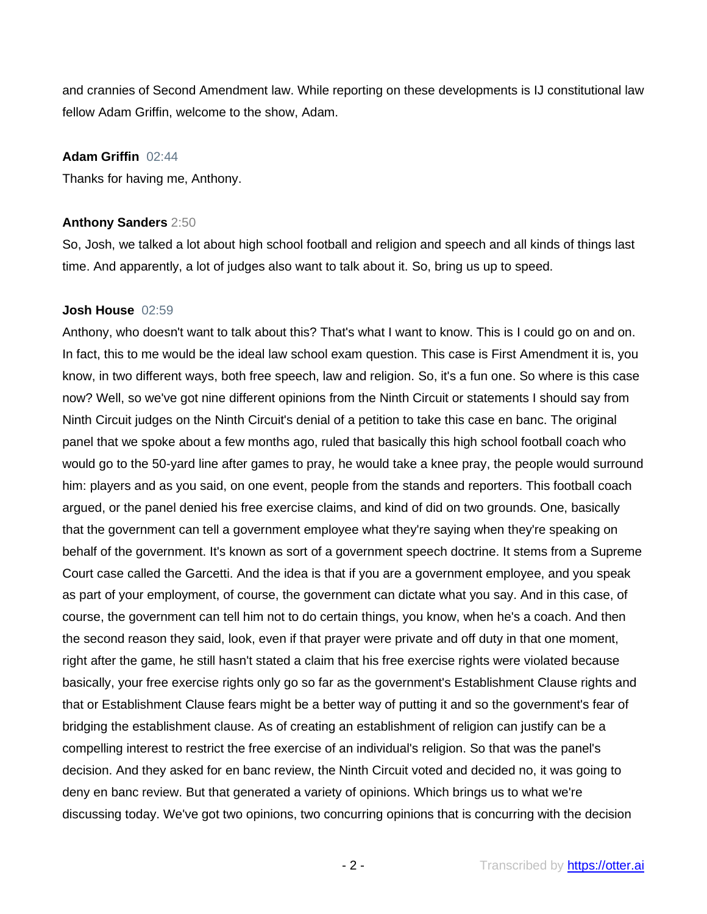and crannies of Second Amendment law. While reporting on these developments is IJ constitutional law fellow Adam Griffin, welcome to the show, Adam.

## **Adam Griffin** 02:44

Thanks for having me, Anthony.

## **Anthony Sanders** 2:50

So, Josh, we talked a lot about high school football and religion and speech and all kinds of things last time. And apparently, a lot of judges also want to talk about it. So, bring us up to speed.

## **Josh House** 02:59

Anthony, who doesn't want to talk about this? That's what I want to know. This is I could go on and on. In fact, this to me would be the ideal law school exam question. This case is First Amendment it is, you know, in two different ways, both free speech, law and religion. So, it's a fun one. So where is this case now? Well, so we've got nine different opinions from the Ninth Circuit or statements I should say from Ninth Circuit judges on the Ninth Circuit's denial of a petition to take this case en banc. The original panel that we spoke about a few months ago, ruled that basically this high school football coach who would go to the 50-yard line after games to pray, he would take a knee pray, the people would surround him: players and as you said, on one event, people from the stands and reporters. This football coach argued, or the panel denied his free exercise claims, and kind of did on two grounds. One, basically that the government can tell a government employee what they're saying when they're speaking on behalf of the government. It's known as sort of a government speech doctrine. It stems from a Supreme Court case called the Garcetti. And the idea is that if you are a government employee, and you speak as part of your employment, of course, the government can dictate what you say. And in this case, of course, the government can tell him not to do certain things, you know, when he's a coach. And then the second reason they said, look, even if that prayer were private and off duty in that one moment, right after the game, he still hasn't stated a claim that his free exercise rights were violated because basically, your free exercise rights only go so far as the government's Establishment Clause rights and that or Establishment Clause fears might be a better way of putting it and so the government's fear of bridging the establishment clause. As of creating an establishment of religion can justify can be a compelling interest to restrict the free exercise of an individual's religion. So that was the panel's decision. And they asked for en banc review, the Ninth Circuit voted and decided no, it was going to deny en banc review. But that generated a variety of opinions. Which brings us to what we're discussing today. We've got two opinions, two concurring opinions that is concurring with the decision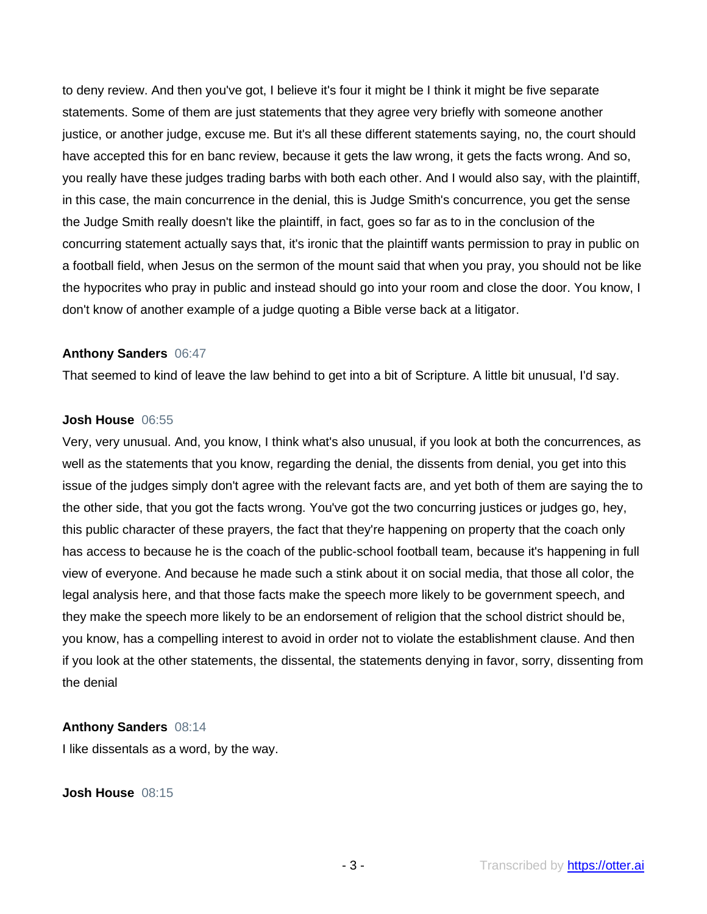to deny review. And then you've got, I believe it's four it might be I think it might be five separate statements. Some of them are just statements that they agree very briefly with someone another justice, or another judge, excuse me. But it's all these different statements saying, no, the court should have accepted this for en banc review, because it gets the law wrong, it gets the facts wrong. And so, you really have these judges trading barbs with both each other. And I would also say, with the plaintiff, in this case, the main concurrence in the denial, this is Judge Smith's concurrence, you get the sense the Judge Smith really doesn't like the plaintiff, in fact, goes so far as to in the conclusion of the concurring statement actually says that, it's ironic that the plaintiff wants permission to pray in public on a football field, when Jesus on the sermon of the mount said that when you pray, you should not be like the hypocrites who pray in public and instead should go into your room and close the door. You know, I don't know of another example of a judge quoting a Bible verse back at a litigator.

## **Anthony Sanders** 06:47

That seemed to kind of leave the law behind to get into a bit of Scripture. A little bit unusual, I'd say.

#### **Josh House** 06:55

Very, very unusual. And, you know, I think what's also unusual, if you look at both the concurrences, as well as the statements that you know, regarding the denial, the dissents from denial, you get into this issue of the judges simply don't agree with the relevant facts are, and yet both of them are saying the to the other side, that you got the facts wrong. You've got the two concurring justices or judges go, hey, this public character of these prayers, the fact that they're happening on property that the coach only has access to because he is the coach of the public-school football team, because it's happening in full view of everyone. And because he made such a stink about it on social media, that those all color, the legal analysis here, and that those facts make the speech more likely to be government speech, and they make the speech more likely to be an endorsement of religion that the school district should be, you know, has a compelling interest to avoid in order not to violate the establishment clause. And then if you look at the other statements, the dissental, the statements denying in favor, sorry, dissenting from the denial

## **Anthony Sanders** 08:14

I like dissentals as a word, by the way.

## **Josh House** 08:15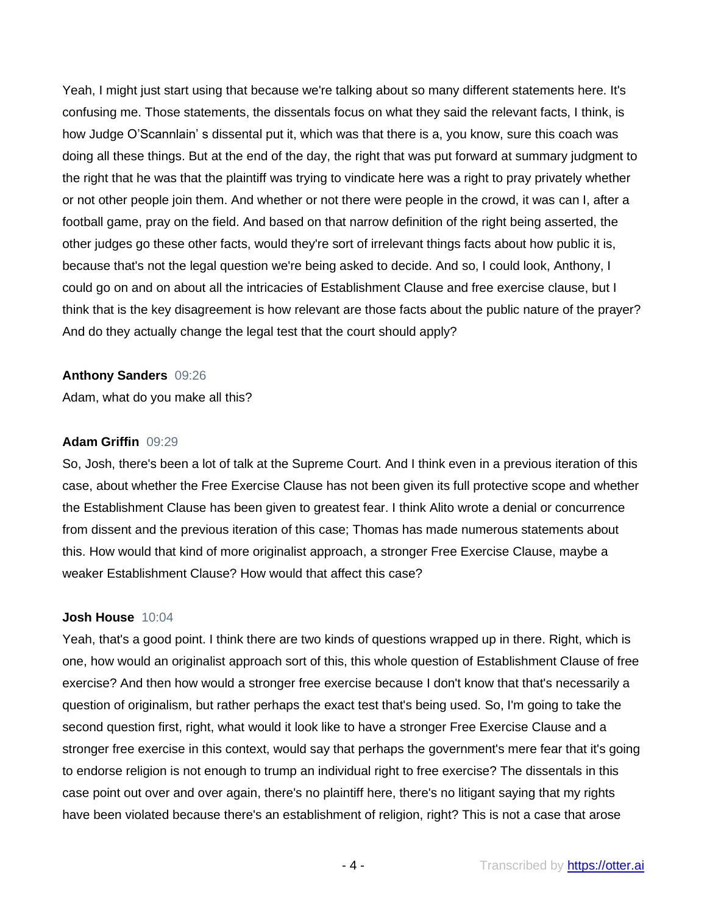Yeah, I might just start using that because we're talking about so many different statements here. It's confusing me. Those statements, the dissentals focus on what they said the relevant facts, I think, is how Judge O'Scannlain' s dissental put it, which was that there is a, you know, sure this coach was doing all these things. But at the end of the day, the right that was put forward at summary judgment to the right that he was that the plaintiff was trying to vindicate here was a right to pray privately whether or not other people join them. And whether or not there were people in the crowd, it was can I, after a football game, pray on the field. And based on that narrow definition of the right being asserted, the other judges go these other facts, would they're sort of irrelevant things facts about how public it is, because that's not the legal question we're being asked to decide. And so, I could look, Anthony, I could go on and on about all the intricacies of Establishment Clause and free exercise clause, but I think that is the key disagreement is how relevant are those facts about the public nature of the prayer? And do they actually change the legal test that the court should apply?

### **Anthony Sanders** 09:26

Adam, what do you make all this?

### **Adam Griffin** 09:29

So, Josh, there's been a lot of talk at the Supreme Court. And I think even in a previous iteration of this case, about whether the Free Exercise Clause has not been given its full protective scope and whether the Establishment Clause has been given to greatest fear. I think Alito wrote a denial or concurrence from dissent and the previous iteration of this case; Thomas has made numerous statements about this. How would that kind of more originalist approach, a stronger Free Exercise Clause, maybe a weaker Establishment Clause? How would that affect this case?

### **Josh House** 10:04

Yeah, that's a good point. I think there are two kinds of questions wrapped up in there. Right, which is one, how would an originalist approach sort of this, this whole question of Establishment Clause of free exercise? And then how would a stronger free exercise because I don't know that that's necessarily a question of originalism, but rather perhaps the exact test that's being used. So, I'm going to take the second question first, right, what would it look like to have a stronger Free Exercise Clause and a stronger free exercise in this context, would say that perhaps the government's mere fear that it's going to endorse religion is not enough to trump an individual right to free exercise? The dissentals in this case point out over and over again, there's no plaintiff here, there's no litigant saying that my rights have been violated because there's an establishment of religion, right? This is not a case that arose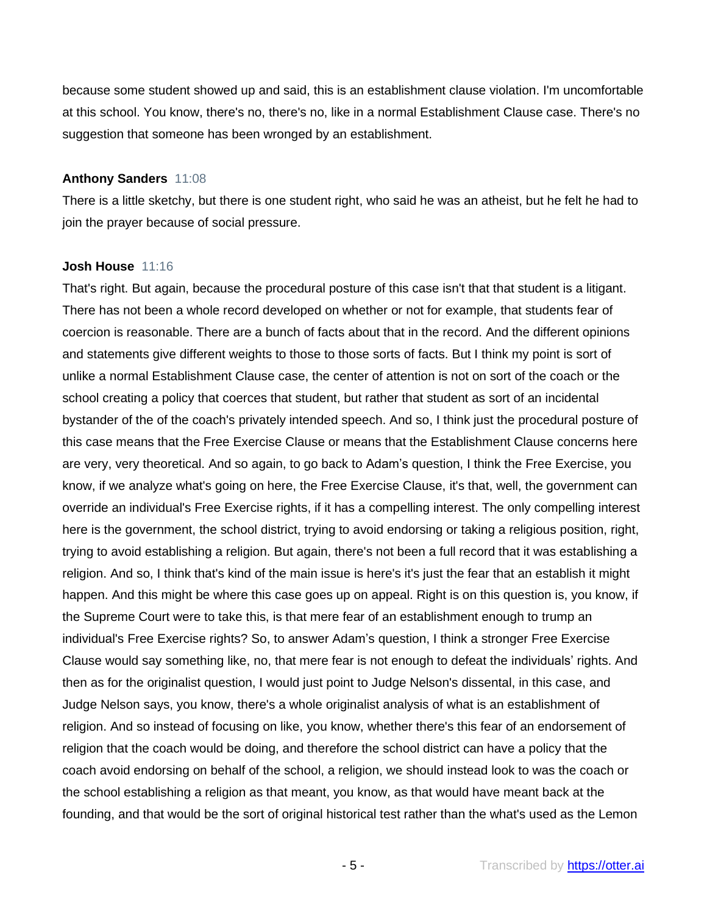because some student showed up and said, this is an establishment clause violation. I'm uncomfortable at this school. You know, there's no, there's no, like in a normal Establishment Clause case. There's no suggestion that someone has been wronged by an establishment.

#### **Anthony Sanders** 11:08

There is a little sketchy, but there is one student right, who said he was an atheist, but he felt he had to join the prayer because of social pressure.

#### **Josh House** 11:16

That's right. But again, because the procedural posture of this case isn't that that student is a litigant. There has not been a whole record developed on whether or not for example, that students fear of coercion is reasonable. There are a bunch of facts about that in the record. And the different opinions and statements give different weights to those to those sorts of facts. But I think my point is sort of unlike a normal Establishment Clause case, the center of attention is not on sort of the coach or the school creating a policy that coerces that student, but rather that student as sort of an incidental bystander of the of the coach's privately intended speech. And so, I think just the procedural posture of this case means that the Free Exercise Clause or means that the Establishment Clause concerns here are very, very theoretical. And so again, to go back to Adam's question, I think the Free Exercise, you know, if we analyze what's going on here, the Free Exercise Clause, it's that, well, the government can override an individual's Free Exercise rights, if it has a compelling interest. The only compelling interest here is the government, the school district, trying to avoid endorsing or taking a religious position, right, trying to avoid establishing a religion. But again, there's not been a full record that it was establishing a religion. And so, I think that's kind of the main issue is here's it's just the fear that an establish it might happen. And this might be where this case goes up on appeal. Right is on this question is, you know, if the Supreme Court were to take this, is that mere fear of an establishment enough to trump an individual's Free Exercise rights? So, to answer Adam's question, I think a stronger Free Exercise Clause would say something like, no, that mere fear is not enough to defeat the individuals' rights. And then as for the originalist question, I would just point to Judge Nelson's dissental, in this case, and Judge Nelson says, you know, there's a whole originalist analysis of what is an establishment of religion. And so instead of focusing on like, you know, whether there's this fear of an endorsement of religion that the coach would be doing, and therefore the school district can have a policy that the coach avoid endorsing on behalf of the school, a religion, we should instead look to was the coach or the school establishing a religion as that meant, you know, as that would have meant back at the founding, and that would be the sort of original historical test rather than the what's used as the Lemon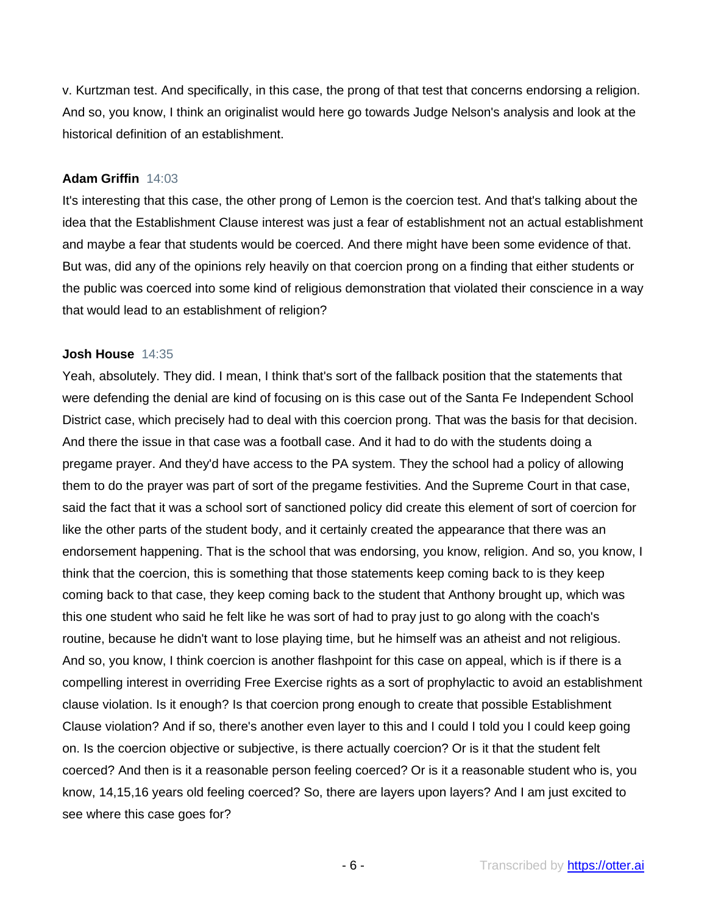v. Kurtzman test. And specifically, in this case, the prong of that test that concerns endorsing a religion. And so, you know, I think an originalist would here go towards Judge Nelson's analysis and look at the historical definition of an establishment.

#### **Adam Griffin** 14:03

It's interesting that this case, the other prong of Lemon is the coercion test. And that's talking about the idea that the Establishment Clause interest was just a fear of establishment not an actual establishment and maybe a fear that students would be coerced. And there might have been some evidence of that. But was, did any of the opinions rely heavily on that coercion prong on a finding that either students or the public was coerced into some kind of religious demonstration that violated their conscience in a way that would lead to an establishment of religion?

#### **Josh House** 14:35

Yeah, absolutely. They did. I mean, I think that's sort of the fallback position that the statements that were defending the denial are kind of focusing on is this case out of the Santa Fe Independent School District case, which precisely had to deal with this coercion prong. That was the basis for that decision. And there the issue in that case was a football case. And it had to do with the students doing a pregame prayer. And they'd have access to the PA system. They the school had a policy of allowing them to do the prayer was part of sort of the pregame festivities. And the Supreme Court in that case, said the fact that it was a school sort of sanctioned policy did create this element of sort of coercion for like the other parts of the student body, and it certainly created the appearance that there was an endorsement happening. That is the school that was endorsing, you know, religion. And so, you know, I think that the coercion, this is something that those statements keep coming back to is they keep coming back to that case, they keep coming back to the student that Anthony brought up, which was this one student who said he felt like he was sort of had to pray just to go along with the coach's routine, because he didn't want to lose playing time, but he himself was an atheist and not religious. And so, you know, I think coercion is another flashpoint for this case on appeal, which is if there is a compelling interest in overriding Free Exercise rights as a sort of prophylactic to avoid an establishment clause violation. Is it enough? Is that coercion prong enough to create that possible Establishment Clause violation? And if so, there's another even layer to this and I could I told you I could keep going on. Is the coercion objective or subjective, is there actually coercion? Or is it that the student felt coerced? And then is it a reasonable person feeling coerced? Or is it a reasonable student who is, you know, 14,15,16 years old feeling coerced? So, there are layers upon layers? And I am just excited to see where this case goes for?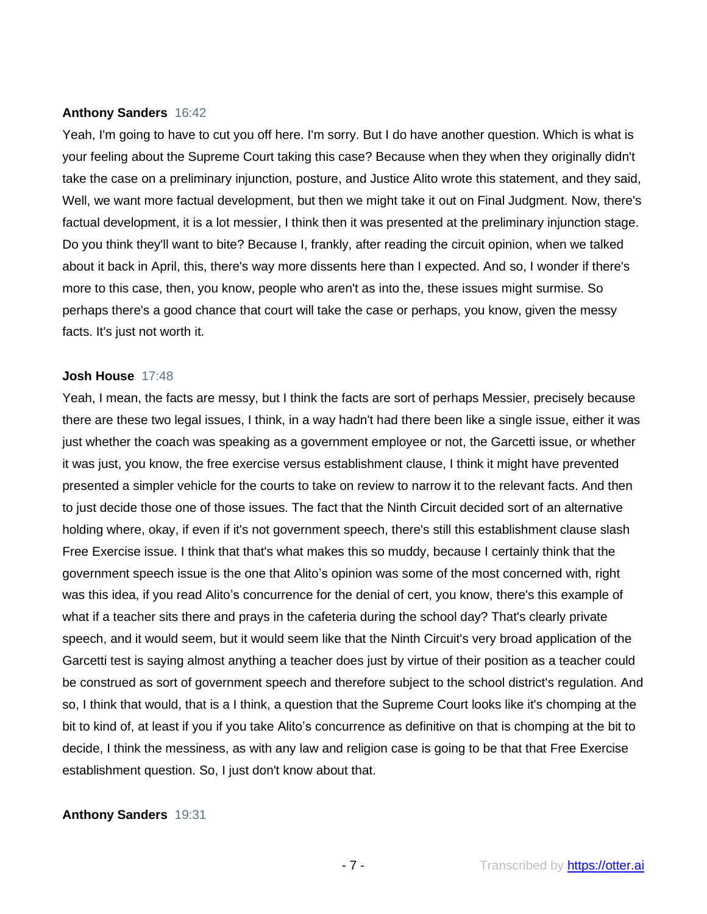#### **Anthony Sanders** 16:42

Yeah, I'm going to have to cut you off here. I'm sorry. But I do have another question. Which is what is your feeling about the Supreme Court taking this case? Because when they when they originally didn't take the case on a preliminary injunction, posture, and Justice Alito wrote this statement, and they said, Well, we want more factual development, but then we might take it out on Final Judgment. Now, there's factual development, it is a lot messier, I think then it was presented at the preliminary injunction stage. Do you think they'll want to bite? Because I, frankly, after reading the circuit opinion, when we talked about it back in April, this, there's way more dissents here than I expected. And so, I wonder if there's more to this case, then, you know, people who aren't as into the, these issues might surmise. So perhaps there's a good chance that court will take the case or perhaps, you know, given the messy facts. It's just not worth it.

#### **Josh House** 17:48

Yeah, I mean, the facts are messy, but I think the facts are sort of perhaps Messier, precisely because there are these two legal issues, I think, in a way hadn't had there been like a single issue, either it was just whether the coach was speaking as a government employee or not, the Garcetti issue, or whether it was just, you know, the free exercise versus establishment clause, I think it might have prevented presented a simpler vehicle for the courts to take on review to narrow it to the relevant facts. And then to just decide those one of those issues. The fact that the Ninth Circuit decided sort of an alternative holding where, okay, if even if it's not government speech, there's still this establishment clause slash Free Exercise issue. I think that that's what makes this so muddy, because I certainly think that the government speech issue is the one that Alito's opinion was some of the most concerned with, right was this idea, if you read Alito's concurrence for the denial of cert, you know, there's this example of what if a teacher sits there and prays in the cafeteria during the school day? That's clearly private speech, and it would seem, but it would seem like that the Ninth Circuit's very broad application of the Garcetti test is saying almost anything a teacher does just by virtue of their position as a teacher could be construed as sort of government speech and therefore subject to the school district's regulation. And so, I think that would, that is a I think, a question that the Supreme Court looks like it's chomping at the bit to kind of, at least if you if you take Alito's concurrence as definitive on that is chomping at the bit to decide, I think the messiness, as with any law and religion case is going to be that that Free Exercise establishment question. So, I just don't know about that.

#### **Anthony Sanders** 19:31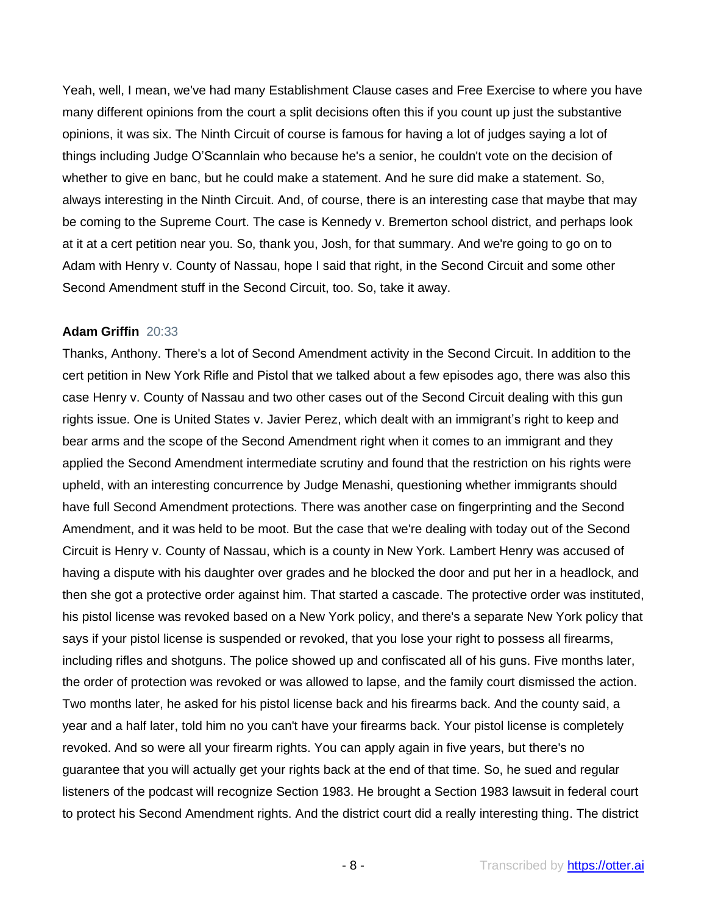Yeah, well, I mean, we've had many Establishment Clause cases and Free Exercise to where you have many different opinions from the court a split decisions often this if you count up just the substantive opinions, it was six. The Ninth Circuit of course is famous for having a lot of judges saying a lot of things including Judge O'Scannlain who because he's a senior, he couldn't vote on the decision of whether to give en banc, but he could make a statement. And he sure did make a statement. So, always interesting in the Ninth Circuit. And, of course, there is an interesting case that maybe that may be coming to the Supreme Court. The case is Kennedy v. Bremerton school district, and perhaps look at it at a cert petition near you. So, thank you, Josh, for that summary. And we're going to go on to Adam with Henry v. County of Nassau, hope I said that right, in the Second Circuit and some other Second Amendment stuff in the Second Circuit, too. So, take it away.

### **Adam Griffin** 20:33

Thanks, Anthony. There's a lot of Second Amendment activity in the Second Circuit. In addition to the cert petition in New York Rifle and Pistol that we talked about a few episodes ago, there was also this case Henry v. County of Nassau and two other cases out of the Second Circuit dealing with this gun rights issue. One is United States v. Javier Perez, which dealt with an immigrant's right to keep and bear arms and the scope of the Second Amendment right when it comes to an immigrant and they applied the Second Amendment intermediate scrutiny and found that the restriction on his rights were upheld, with an interesting concurrence by Judge Menashi, questioning whether immigrants should have full Second Amendment protections. There was another case on fingerprinting and the Second Amendment, and it was held to be moot. But the case that we're dealing with today out of the Second Circuit is Henry v. County of Nassau, which is a county in New York. Lambert Henry was accused of having a dispute with his daughter over grades and he blocked the door and put her in a headlock, and then she got a protective order against him. That started a cascade. The protective order was instituted, his pistol license was revoked based on a New York policy, and there's a separate New York policy that says if your pistol license is suspended or revoked, that you lose your right to possess all firearms, including rifles and shotguns. The police showed up and confiscated all of his guns. Five months later, the order of protection was revoked or was allowed to lapse, and the family court dismissed the action. Two months later, he asked for his pistol license back and his firearms back. And the county said, a year and a half later, told him no you can't have your firearms back. Your pistol license is completely revoked. And so were all your firearm rights. You can apply again in five years, but there's no guarantee that you will actually get your rights back at the end of that time. So, he sued and regular listeners of the podcast will recognize Section 1983. He brought a Section 1983 lawsuit in federal court to protect his Second Amendment rights. And the district court did a really interesting thing. The district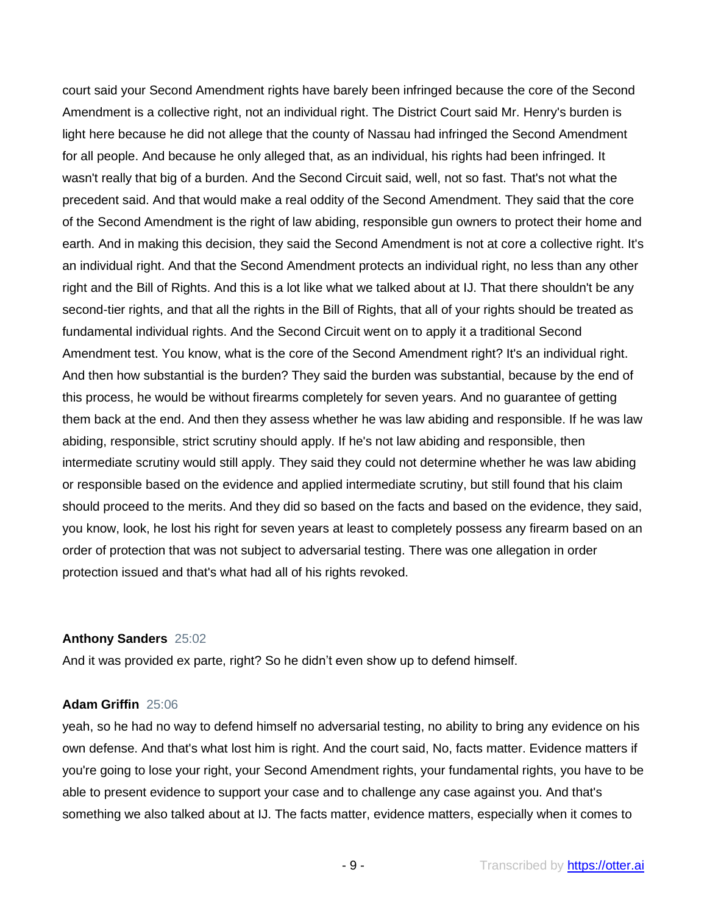court said your Second Amendment rights have barely been infringed because the core of the Second Amendment is a collective right, not an individual right. The District Court said Mr. Henry's burden is light here because he did not allege that the county of Nassau had infringed the Second Amendment for all people. And because he only alleged that, as an individual, his rights had been infringed. It wasn't really that big of a burden. And the Second Circuit said, well, not so fast. That's not what the precedent said. And that would make a real oddity of the Second Amendment. They said that the core of the Second Amendment is the right of law abiding, responsible gun owners to protect their home and earth. And in making this decision, they said the Second Amendment is not at core a collective right. It's an individual right. And that the Second Amendment protects an individual right, no less than any other right and the Bill of Rights. And this is a lot like what we talked about at IJ. That there shouldn't be any second-tier rights, and that all the rights in the Bill of Rights, that all of your rights should be treated as fundamental individual rights. And the Second Circuit went on to apply it a traditional Second Amendment test. You know, what is the core of the Second Amendment right? It's an individual right. And then how substantial is the burden? They said the burden was substantial, because by the end of this process, he would be without firearms completely for seven years. And no guarantee of getting them back at the end. And then they assess whether he was law abiding and responsible. If he was law abiding, responsible, strict scrutiny should apply. If he's not law abiding and responsible, then intermediate scrutiny would still apply. They said they could not determine whether he was law abiding or responsible based on the evidence and applied intermediate scrutiny, but still found that his claim should proceed to the merits. And they did so based on the facts and based on the evidence, they said, you know, look, he lost his right for seven years at least to completely possess any firearm based on an order of protection that was not subject to adversarial testing. There was one allegation in order protection issued and that's what had all of his rights revoked.

## **Anthony Sanders** 25:02

And it was provided ex parte, right? So he didn't even show up to defend himself.

#### **Adam Griffin** 25:06

yeah, so he had no way to defend himself no adversarial testing, no ability to bring any evidence on his own defense. And that's what lost him is right. And the court said, No, facts matter. Evidence matters if you're going to lose your right, your Second Amendment rights, your fundamental rights, you have to be able to present evidence to support your case and to challenge any case against you. And that's something we also talked about at IJ. The facts matter, evidence matters, especially when it comes to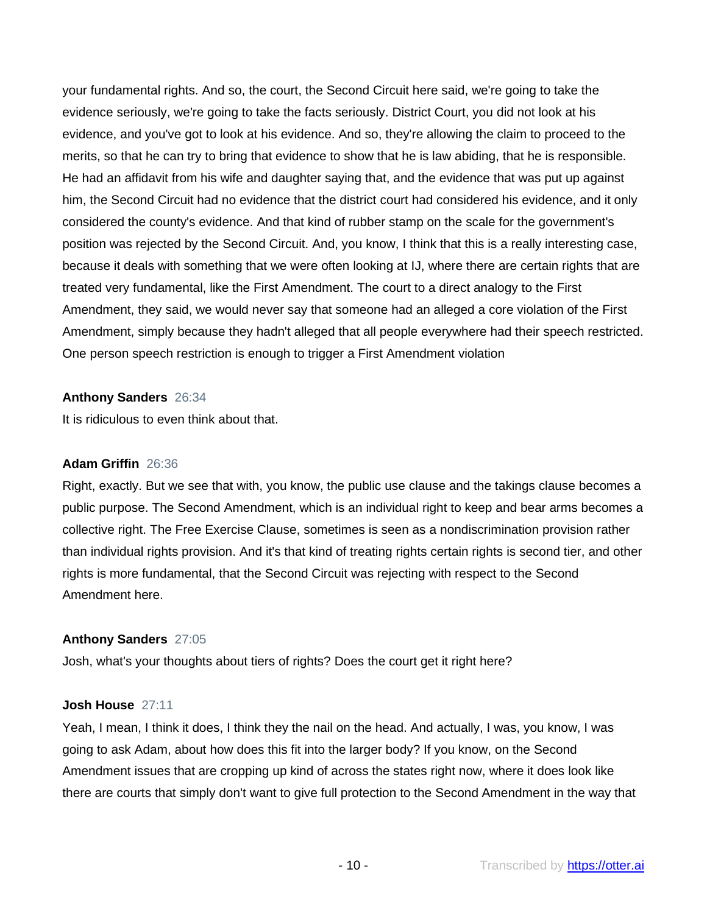your fundamental rights. And so, the court, the Second Circuit here said, we're going to take the evidence seriously, we're going to take the facts seriously. District Court, you did not look at his evidence, and you've got to look at his evidence. And so, they're allowing the claim to proceed to the merits, so that he can try to bring that evidence to show that he is law abiding, that he is responsible. He had an affidavit from his wife and daughter saying that, and the evidence that was put up against him, the Second Circuit had no evidence that the district court had considered his evidence, and it only considered the county's evidence. And that kind of rubber stamp on the scale for the government's position was rejected by the Second Circuit. And, you know, I think that this is a really interesting case, because it deals with something that we were often looking at IJ, where there are certain rights that are treated very fundamental, like the First Amendment. The court to a direct analogy to the First Amendment, they said, we would never say that someone had an alleged a core violation of the First Amendment, simply because they hadn't alleged that all people everywhere had their speech restricted. One person speech restriction is enough to trigger a First Amendment violation

## **Anthony Sanders** 26:34

It is ridiculous to even think about that.

## **Adam Griffin** 26:36

Right, exactly. But we see that with, you know, the public use clause and the takings clause becomes a public purpose. The Second Amendment, which is an individual right to keep and bear arms becomes a collective right. The Free Exercise Clause, sometimes is seen as a nondiscrimination provision rather than individual rights provision. And it's that kind of treating rights certain rights is second tier, and other rights is more fundamental, that the Second Circuit was rejecting with respect to the Second Amendment here.

# **Anthony Sanders** 27:05

Josh, what's your thoughts about tiers of rights? Does the court get it right here?

### **Josh House** 27:11

Yeah, I mean, I think it does, I think they the nail on the head. And actually, I was, you know, I was going to ask Adam, about how does this fit into the larger body? If you know, on the Second Amendment issues that are cropping up kind of across the states right now, where it does look like there are courts that simply don't want to give full protection to the Second Amendment in the way that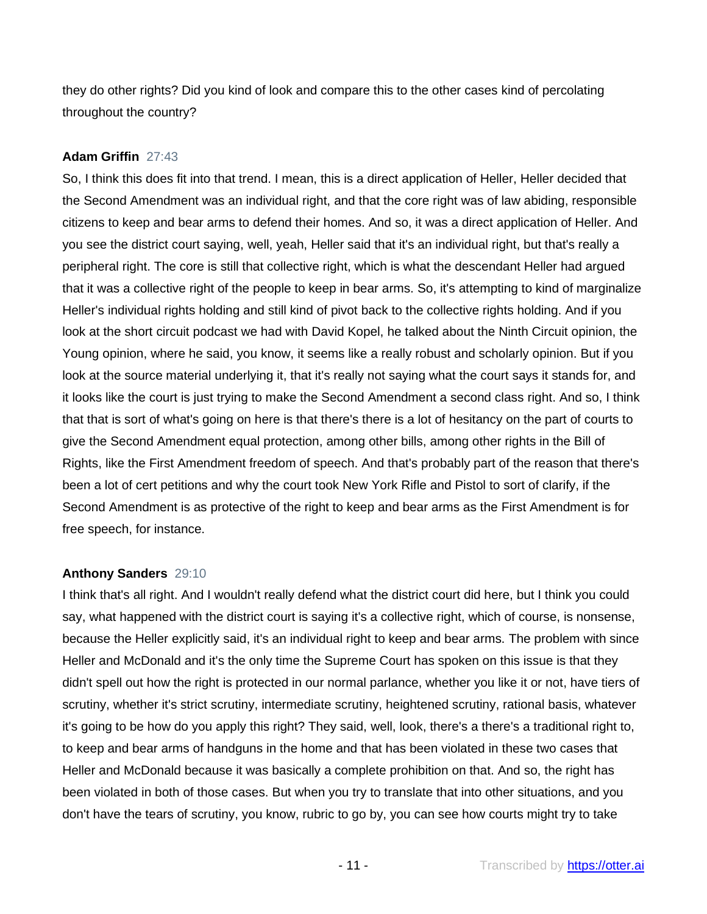they do other rights? Did you kind of look and compare this to the other cases kind of percolating throughout the country?

# **Adam Griffin** 27:43

So, I think this does fit into that trend. I mean, this is a direct application of Heller, Heller decided that the Second Amendment was an individual right, and that the core right was of law abiding, responsible citizens to keep and bear arms to defend their homes. And so, it was a direct application of Heller. And you see the district court saying, well, yeah, Heller said that it's an individual right, but that's really a peripheral right. The core is still that collective right, which is what the descendant Heller had argued that it was a collective right of the people to keep in bear arms. So, it's attempting to kind of marginalize Heller's individual rights holding and still kind of pivot back to the collective rights holding. And if you look at the short circuit podcast we had with David Kopel, he talked about the Ninth Circuit opinion, the Young opinion, where he said, you know, it seems like a really robust and scholarly opinion. But if you look at the source material underlying it, that it's really not saying what the court says it stands for, and it looks like the court is just trying to make the Second Amendment a second class right. And so, I think that that is sort of what's going on here is that there's there is a lot of hesitancy on the part of courts to give the Second Amendment equal protection, among other bills, among other rights in the Bill of Rights, like the First Amendment freedom of speech. And that's probably part of the reason that there's been a lot of cert petitions and why the court took New York Rifle and Pistol to sort of clarify, if the Second Amendment is as protective of the right to keep and bear arms as the First Amendment is for free speech, for instance.

# **Anthony Sanders** 29:10

I think that's all right. And I wouldn't really defend what the district court did here, but I think you could say, what happened with the district court is saying it's a collective right, which of course, is nonsense, because the Heller explicitly said, it's an individual right to keep and bear arms. The problem with since Heller and McDonald and it's the only time the Supreme Court has spoken on this issue is that they didn't spell out how the right is protected in our normal parlance, whether you like it or not, have tiers of scrutiny, whether it's strict scrutiny, intermediate scrutiny, heightened scrutiny, rational basis, whatever it's going to be how do you apply this right? They said, well, look, there's a there's a traditional right to, to keep and bear arms of handguns in the home and that has been violated in these two cases that Heller and McDonald because it was basically a complete prohibition on that. And so, the right has been violated in both of those cases. But when you try to translate that into other situations, and you don't have the tears of scrutiny, you know, rubric to go by, you can see how courts might try to take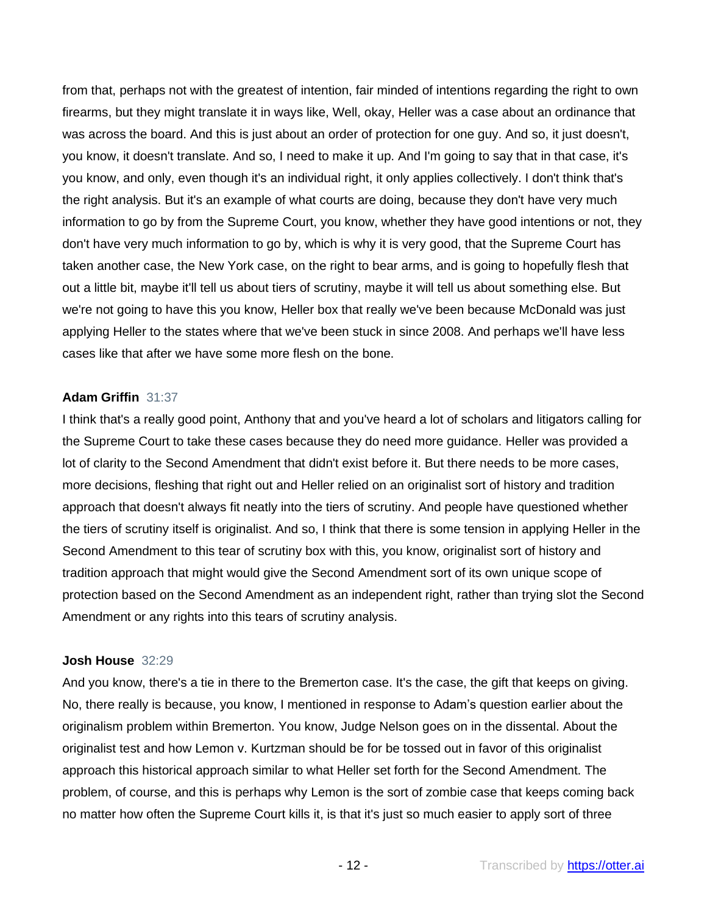from that, perhaps not with the greatest of intention, fair minded of intentions regarding the right to own firearms, but they might translate it in ways like, Well, okay, Heller was a case about an ordinance that was across the board. And this is just about an order of protection for one guy. And so, it just doesn't, you know, it doesn't translate. And so, I need to make it up. And I'm going to say that in that case, it's you know, and only, even though it's an individual right, it only applies collectively. I don't think that's the right analysis. But it's an example of what courts are doing, because they don't have very much information to go by from the Supreme Court, you know, whether they have good intentions or not, they don't have very much information to go by, which is why it is very good, that the Supreme Court has taken another case, the New York case, on the right to bear arms, and is going to hopefully flesh that out a little bit, maybe it'll tell us about tiers of scrutiny, maybe it will tell us about something else. But we're not going to have this you know, Heller box that really we've been because McDonald was just applying Heller to the states where that we've been stuck in since 2008. And perhaps we'll have less cases like that after we have some more flesh on the bone.

## **Adam Griffin** 31:37

I think that's a really good point, Anthony that and you've heard a lot of scholars and litigators calling for the Supreme Court to take these cases because they do need more guidance. Heller was provided a lot of clarity to the Second Amendment that didn't exist before it. But there needs to be more cases, more decisions, fleshing that right out and Heller relied on an originalist sort of history and tradition approach that doesn't always fit neatly into the tiers of scrutiny. And people have questioned whether the tiers of scrutiny itself is originalist. And so, I think that there is some tension in applying Heller in the Second Amendment to this tear of scrutiny box with this, you know, originalist sort of history and tradition approach that might would give the Second Amendment sort of its own unique scope of protection based on the Second Amendment as an independent right, rather than trying slot the Second Amendment or any rights into this tears of scrutiny analysis.

### **Josh House** 32:29

And you know, there's a tie in there to the Bremerton case. It's the case, the gift that keeps on giving. No, there really is because, you know, I mentioned in response to Adam's question earlier about the originalism problem within Bremerton. You know, Judge Nelson goes on in the dissental. About the originalist test and how Lemon v. Kurtzman should be for be tossed out in favor of this originalist approach this historical approach similar to what Heller set forth for the Second Amendment. The problem, of course, and this is perhaps why Lemon is the sort of zombie case that keeps coming back no matter how often the Supreme Court kills it, is that it's just so much easier to apply sort of three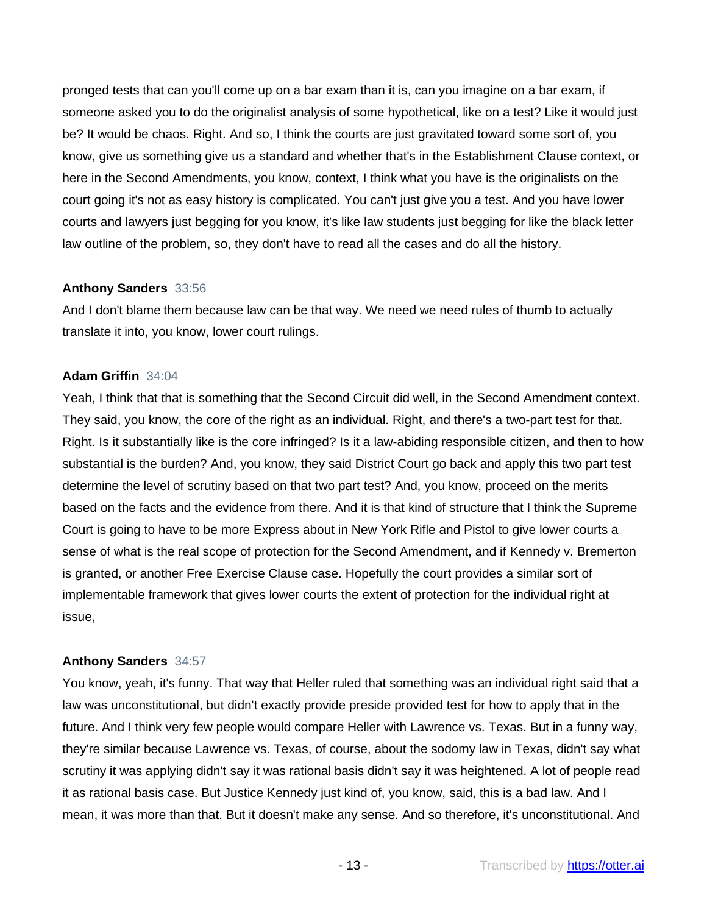pronged tests that can you'll come up on a bar exam than it is, can you imagine on a bar exam, if someone asked you to do the originalist analysis of some hypothetical, like on a test? Like it would just be? It would be chaos. Right. And so, I think the courts are just gravitated toward some sort of, you know, give us something give us a standard and whether that's in the Establishment Clause context, or here in the Second Amendments, you know, context, I think what you have is the originalists on the court going it's not as easy history is complicated. You can't just give you a test. And you have lower courts and lawyers just begging for you know, it's like law students just begging for like the black letter law outline of the problem, so, they don't have to read all the cases and do all the history.

# **Anthony Sanders** 33:56

And I don't blame them because law can be that way. We need we need rules of thumb to actually translate it into, you know, lower court rulings.

## **Adam Griffin** 34:04

Yeah, I think that that is something that the Second Circuit did well, in the Second Amendment context. They said, you know, the core of the right as an individual. Right, and there's a two-part test for that. Right. Is it substantially like is the core infringed? Is it a law-abiding responsible citizen, and then to how substantial is the burden? And, you know, they said District Court go back and apply this two part test determine the level of scrutiny based on that two part test? And, you know, proceed on the merits based on the facts and the evidence from there. And it is that kind of structure that I think the Supreme Court is going to have to be more Express about in New York Rifle and Pistol to give lower courts a sense of what is the real scope of protection for the Second Amendment, and if Kennedy v. Bremerton is granted, or another Free Exercise Clause case. Hopefully the court provides a similar sort of implementable framework that gives lower courts the extent of protection for the individual right at issue,

# **Anthony Sanders** 34:57

You know, yeah, it's funny. That way that Heller ruled that something was an individual right said that a law was unconstitutional, but didn't exactly provide preside provided test for how to apply that in the future. And I think very few people would compare Heller with Lawrence vs. Texas. But in a funny way, they're similar because Lawrence vs. Texas, of course, about the sodomy law in Texas, didn't say what scrutiny it was applying didn't say it was rational basis didn't say it was heightened. A lot of people read it as rational basis case. But Justice Kennedy just kind of, you know, said, this is a bad law. And I mean, it was more than that. But it doesn't make any sense. And so therefore, it's unconstitutional. And